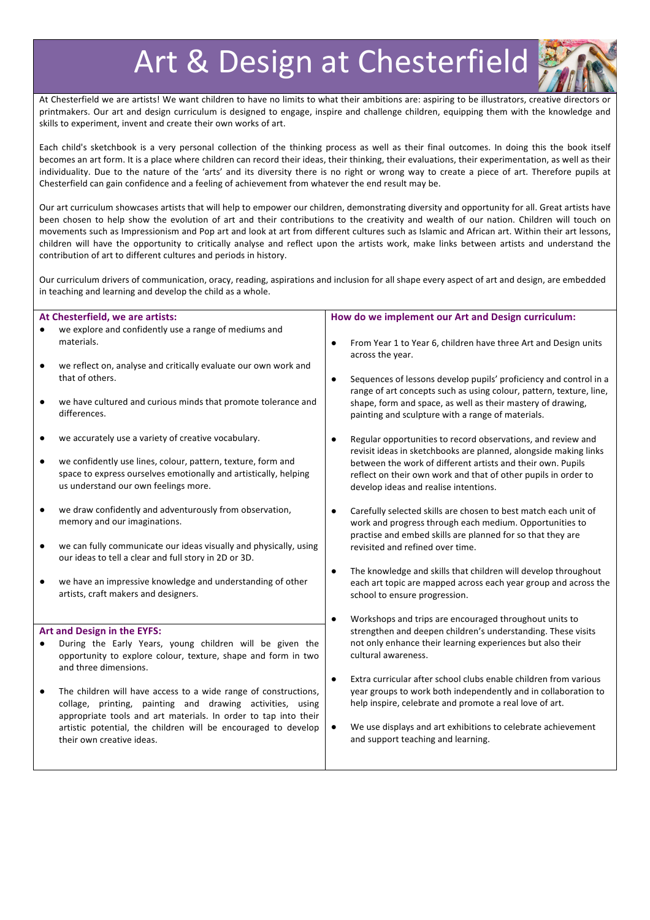# Art & Design at Chesterfield



At Chesterfield we are artists! We want children to have no limits to what their ambitions are: aspiring to be illustrators, creative directors or printmakers. Our art and design curriculum is designed to engage, inspire and challenge children, equipping them with the knowledge and skills to experiment, invent and create their own works of art.

Each child's sketchbook is a very personal collection of the thinking process as well as their final outcomes. In doing this the book itself becomes an art form. It is a place where children can record their ideas, their thinking, their evaluations, their experimentation, as well as their individuality. Due to the nature of the 'arts' and its diversity there is no right or wrong way to create a piece of art. Therefore pupils at Chesterfield can gain confidence and a feeling of achievement from whatever the end result may be.

Our art curriculum showcases artists that will help to empower our children, demonstrating diversity and opportunity for all. Great artists have been chosen to help show the evolution of art and their contributions to the creativity and wealth of our nation. Children will touch on movements such as Impressionism and Pop art and look at art from different cultures such as Islamic and African art. Within their art lessons, children will have the opportunity to critically analyse and reflect upon the artists work, make links between artists and understand the contribution of art to different cultures and periods in history.

Our curriculum drivers of communication, oracy, reading, aspirations and inclusion for all shape every aspect of art and design, are embedded in teaching and learning and develop the child as a whole.

| At Chesterfield, we are artists:                                                                                                                                                                                                                                                                                                                                                                                                                                                                                                                                                 | How do we implement our Art and Design curriculum:                                                                                                                                                                                                                                                                                                                                                                                                                                                                                                                                                                                                                                                                                                      |
|----------------------------------------------------------------------------------------------------------------------------------------------------------------------------------------------------------------------------------------------------------------------------------------------------------------------------------------------------------------------------------------------------------------------------------------------------------------------------------------------------------------------------------------------------------------------------------|---------------------------------------------------------------------------------------------------------------------------------------------------------------------------------------------------------------------------------------------------------------------------------------------------------------------------------------------------------------------------------------------------------------------------------------------------------------------------------------------------------------------------------------------------------------------------------------------------------------------------------------------------------------------------------------------------------------------------------------------------------|
| we explore and confidently use a range of mediums and<br>materials.                                                                                                                                                                                                                                                                                                                                                                                                                                                                                                              | From Year 1 to Year 6, children have three Art and Design units<br>$\bullet$                                                                                                                                                                                                                                                                                                                                                                                                                                                                                                                                                                                                                                                                            |
| we reflect on, analyse and critically evaluate our own work and<br>$\bullet$<br>that of others.<br>we have cultured and curious minds that promote tolerance and<br>$\bullet$<br>differences.                                                                                                                                                                                                                                                                                                                                                                                    | across the year.<br>Sequences of lessons develop pupils' proficiency and control in a<br>$\bullet$<br>range of art concepts such as using colour, pattern, texture, line,<br>shape, form and space, as well as their mastery of drawing,<br>painting and sculpture with a range of materials.                                                                                                                                                                                                                                                                                                                                                                                                                                                           |
| we accurately use a variety of creative vocabulary.<br>we confidently use lines, colour, pattern, texture, form and<br>$\bullet$<br>space to express ourselves emotionally and artistically, helping<br>us understand our own feelings more.<br>we draw confidently and adventurously from observation,<br>memory and our imaginations.<br>we can fully communicate our ideas visually and physically, using<br>٠<br>our ideas to tell a clear and full story in 2D or 3D.<br>we have an impressive knowledge and understanding of other<br>artists, craft makers and designers. | Regular opportunities to record observations, and review and<br>$\bullet$<br>revisit ideas in sketchbooks are planned, alongside making links<br>between the work of different artists and their own. Pupils<br>reflect on their own work and that of other pupils in order to<br>develop ideas and realise intentions.<br>Carefully selected skills are chosen to best match each unit of<br>$\bullet$<br>work and progress through each medium. Opportunities to<br>practise and embed skills are planned for so that they are<br>revisited and refined over time.<br>The knowledge and skills that children will develop throughout<br>$\bullet$<br>each art topic are mapped across each year group and across the<br>school to ensure progression. |
| Art and Design in the EYFS:<br>During the Early Years, young children will be given the<br>opportunity to explore colour, texture, shape and form in two<br>and three dimensions.<br>The children will have access to a wide range of constructions,<br>$\bullet$<br>collage, printing, painting and drawing activities, using<br>appropriate tools and art materials. In order to tap into their<br>artistic potential, the children will be encouraged to develop<br>their own creative ideas.                                                                                 | Workshops and trips are encouraged throughout units to<br>$\bullet$<br>strengthen and deepen children's understanding. These visits<br>not only enhance their learning experiences but also their<br>cultural awareness.<br>Extra curricular after school clubs enable children from various<br>$\bullet$<br>year groups to work both independently and in collaboration to<br>help inspire, celebrate and promote a real love of art.<br>We use displays and art exhibitions to celebrate achievement<br>$\bullet$<br>and support teaching and learning.                                                                                                                                                                                               |